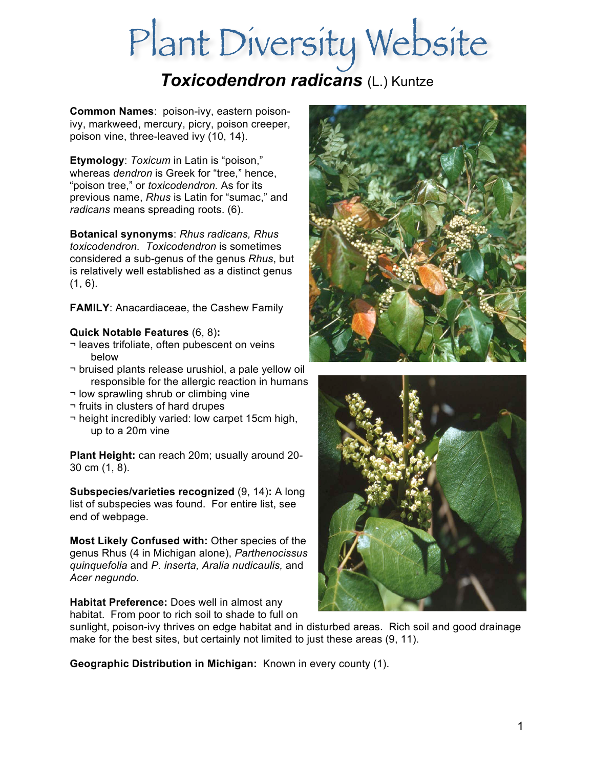# *Toxicodendron radicans* (L.) Kuntze

**Common Names**: poison-ivy, eastern poisonivy, markweed, mercury, picry, poison creeper, poison vine, three-leaved ivy (10, 14).

**Etymology**: *Toxicum* in Latin is "poison," whereas *dendron* is Greek for "tree," hence, "poison tree," or *toxicodendron.* As for its previous name, *Rhus* is Latin for "sumac," and *radicans* means spreading roots. (6).

**Botanical synonyms**: *Rhus radicans, Rhus toxicodendron. Toxicodendron* is sometimes considered a sub-genus of the genus *Rhus*, but is relatively well established as a distinct genus  $(1, 6)$ .

**FAMILY**: Anacardiaceae, the Cashew Family

## **Quick Notable Features** (6, 8)**:**

- ¬ leaves trifoliate, often pubescent on veins below
- ¬ bruised plants release urushiol, a pale yellow oil responsible for the allergic reaction in humans
- ¬ low sprawling shrub or climbing vine
- ¬ fruits in clusters of hard drupes
- ¬ height incredibly varied: low carpet 15cm high, up to a 20m vine

**Plant Height:** can reach 20m; usually around 20- 30 cm (1, 8).

**Subspecies/varieties recognized** (9, 14)**:** A long list of subspecies was found. For entire list, see end of webpage.

**Most Likely Confused with:** Other species of the genus Rhus (4 in Michigan alone), *Parthenocissus quinquefolia* and *P. inserta, Aralia nudicaulis,* and *Acer negundo.*

**Habitat Preference:** Does well in almost any habitat. From poor to rich soil to shade to full on





sunlight, poison-ivy thrives on edge habitat and in disturbed areas. Rich soil and good drainage make for the best sites, but certainly not limited to just these areas (9, 11).

**Geographic Distribution in Michigan:** Known in every county (1).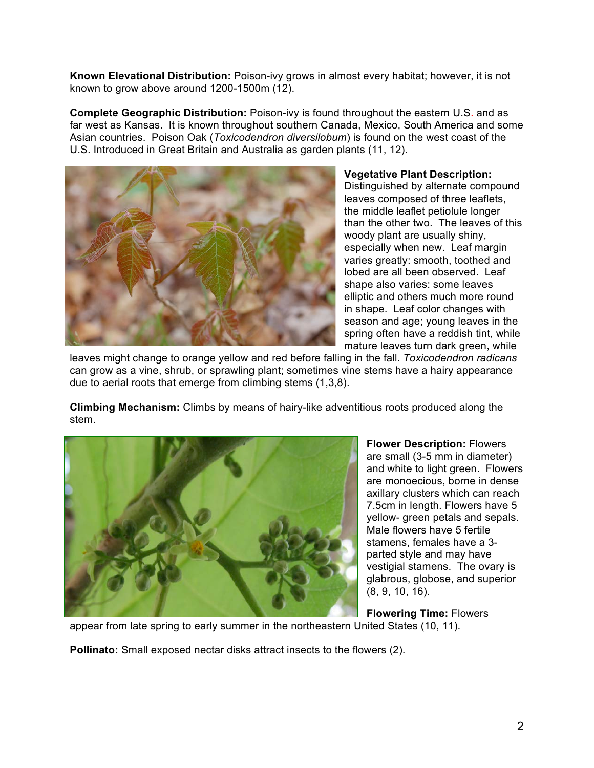**Known Elevational Distribution:** Poison-ivy grows in almost every habitat; however, it is not known to grow above around 1200-1500m (12).

**Complete Geographic Distribution:** Poison-ivy is found throughout the eastern U.S. and as far west as Kansas. It is known throughout southern Canada, Mexico, South America and some Asian countries. Poison Oak (*Toxicodendron diversilobum*) is found on the west coast of the U.S. Introduced in Great Britain and Australia as garden plants (11, 12).



**Vegetative Plant Description:**  Distinguished by alternate compound leaves composed of three leaflets, the middle leaflet petiolule longer than the other two. The leaves of this woody plant are usually shiny, especially when new. Leaf margin varies greatly: smooth, toothed and lobed are all been observed. Leaf shape also varies: some leaves elliptic and others much more round in shape. Leaf color changes with season and age; young leaves in the spring often have a reddish tint, while mature leaves turn dark green, while

leaves might change to orange yellow and red before falling in the fall. *Toxicodendron radicans*  can grow as a vine, shrub, or sprawling plant; sometimes vine stems have a hairy appearance due to aerial roots that emerge from climbing stems (1,3,8).

**Climbing Mechanism:** Climbs by means of hairy-like adventitious roots produced along the stem.



**Flower Description:** Flowers are small (3-5 mm in diameter) and white to light green. Flowers are monoecious, borne in dense axillary clusters which can reach 7.5cm in length. Flowers have 5 yellow- green petals and sepals. Male flowers have 5 fertile stamens, females have a 3 parted style and may have vestigial stamens. The ovary is glabrous, globose, and superior (8, 9, 10, 16).

**Flowering Time:** Flowers

appear from late spring to early summer in the northeastern United States (10, 11).

**Pollinato:** Small exposed nectar disks attract insects to the flowers (2).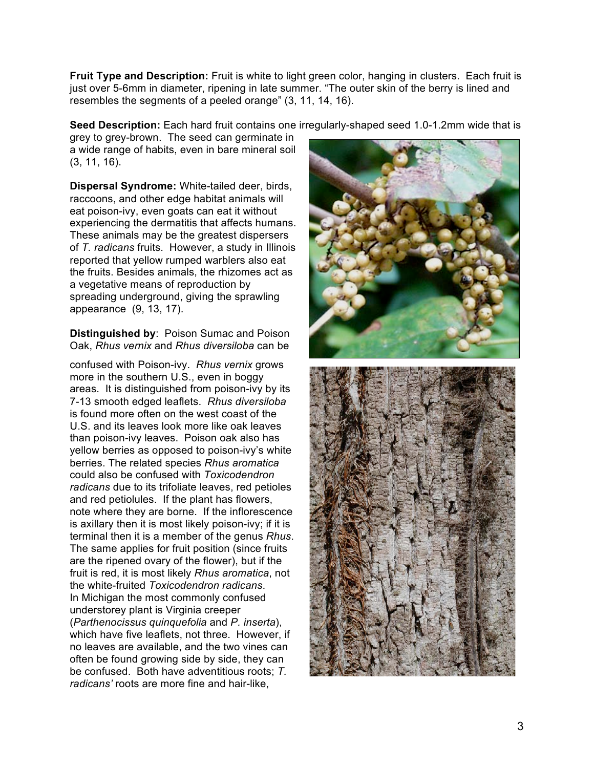**Fruit Type and Description:** Fruit is white to light green color, hanging in clusters. Each fruit is just over 5-6mm in diameter, ripening in late summer. "The outer skin of the berry is lined and resembles the segments of a peeled orange" (3, 11, 14, 16).

**Seed Description:** Each hard fruit contains one irregularly-shaped seed 1.0-1.2mm wide that is

grey to grey-brown. The seed can germinate in a wide range of habits, even in bare mineral soil (3, 11, 16).

**Dispersal Syndrome:** White-tailed deer, birds, raccoons, and other edge habitat animals will eat poison-ivy, even goats can eat it without experiencing the dermatitis that affects humans. These animals may be the greatest dispersers of *T. radicans* fruits. However, a study in Illinois reported that yellow rumped warblers also eat the fruits. Besides animals, the rhizomes act as a vegetative means of reproduction by spreading underground, giving the sprawling appearance (9, 13, 17).

**Distinguished by**: Poison Sumac and Poison Oak, *Rhus vernix* and *Rhus diversiloba* can be

confused with Poison-ivy. *Rhus vernix* grows more in the southern U.S., even in boggy areas. It is distinguished from poison-ivy by its 7-13 smooth edged leaflets. *Rhus diversiloba* is found more often on the west coast of the U.S. and its leaves look more like oak leaves than poison-ivy leaves. Poison oak also has yellow berries as opposed to poison-ivy's white berries. The related species *Rhus aromatica* could also be confused with *Toxicodendron radicans* due to its trifoliate leaves, red petioles and red petiolules. If the plant has flowers, note where they are borne. If the inflorescence is axillary then it is most likely poison-ivy; if it is terminal then it is a member of the genus *Rhus*. The same applies for fruit position (since fruits are the ripened ovary of the flower), but if the fruit is red, it is most likely *Rhus aromatica*, not the white-fruited *Toxicodendron radicans*. In Michigan the most commonly confused understorey plant is Virginia creeper (*Parthenocissus quinquefolia* and *P. inserta*), which have five leaflets, not three. However, if no leaves are available, and the two vines can often be found growing side by side, they can be confused. Both have adventitious roots; *T. radicans'* roots are more fine and hair-like,

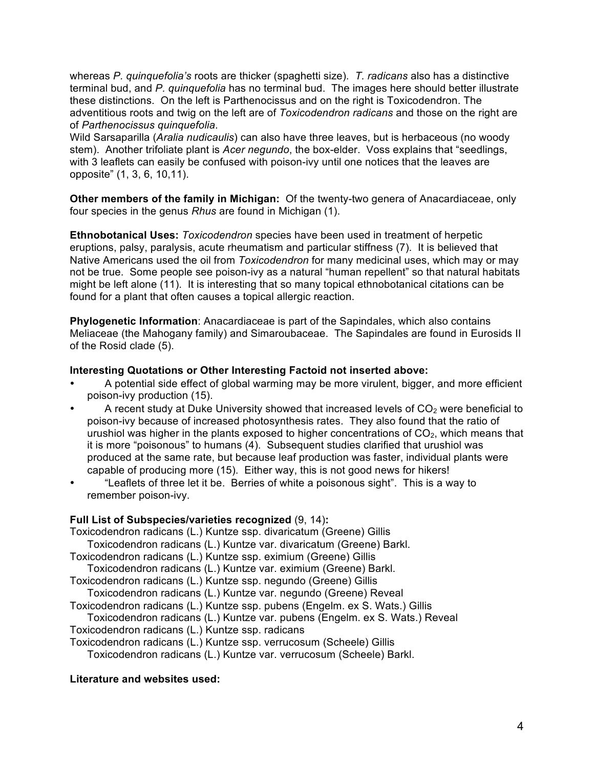whereas *P. quinquefolia's* roots are thicker (spaghetti size). *T. radicans* also has a distinctive terminal bud, and *P. quinquefolia* has no terminal bud. The images here should better illustrate these distinctions. On the left is Parthenocissus and on the right is Toxicodendron. The adventitious roots and twig on the left are of *Toxicodendron radicans* and those on the right are of *Parthenocissus quinquefolia*.

Wild Sarsaparilla (*Aralia nudicaulis*) can also have three leaves, but is herbaceous (no woody stem). Another trifoliate plant is *Acer negundo*, the box-elder. Voss explains that "seedlings, with 3 leaflets can easily be confused with poison-ivy until one notices that the leaves are opposite" (1, 3, 6, 10,11).

**Other members of the family in Michigan:** Of the twenty-two genera of Anacardiaceae, only four species in the genus *Rhus* are found in Michigan (1).

**Ethnobotanical Uses:** *Toxicodendron* species have been used in treatment of herpetic eruptions, palsy, paralysis, acute rheumatism and particular stiffness (7). It is believed that Native Americans used the oil from *Toxicodendron* for many medicinal uses, which may or may not be true. Some people see poison-ivy as a natural "human repellent" so that natural habitats might be left alone (11). It is interesting that so many topical ethnobotanical citations can be found for a plant that often causes a topical allergic reaction.

**Phylogenetic Information**: Anacardiaceae is part of the Sapindales, which also contains Meliaceae (the Mahogany family) and Simaroubaceae. The Sapindales are found in Eurosids II of the Rosid clade (5).

### **Interesting Quotations or Other Interesting Factoid not inserted above:**

- A potential side effect of global warming may be more virulent, bigger, and more efficient poison-ivy production (15).
- A recent study at Duke University showed that increased levels of  $CO<sub>2</sub>$  were beneficial to poison-ivy because of increased photosynthesis rates. They also found that the ratio of urushiol was higher in the plants exposed to higher concentrations of  $CO<sub>2</sub>$ , which means that it is more "poisonous" to humans (4). Subsequent studies clarified that urushiol was produced at the same rate, but because leaf production was faster, individual plants were capable of producing more (15). Either way, this is not good news for hikers!
- "Leaflets of three let it be. Berries of white a poisonous sight". This is a way to remember poison-ivy.

### **Full List of Subspecies/varieties recognized** (9, 14)**:**

Toxicodendron radicans (L.) Kuntze ssp. divaricatum (Greene) Gillis Toxicodendron radicans (L.) Kuntze var. divaricatum (Greene) Barkl. Toxicodendron radicans (L.) Kuntze ssp. eximium (Greene) Gillis Toxicodendron radicans (L.) Kuntze var. eximium (Greene) Barkl. Toxicodendron radicans (L.) Kuntze ssp. negundo (Greene) Gillis Toxicodendron radicans (L.) Kuntze var. negundo (Greene) Reveal Toxicodendron radicans (L.) Kuntze ssp. pubens (Engelm. ex S. Wats.) Gillis Toxicodendron radicans (L.) Kuntze var. pubens (Engelm. ex S. Wats.) Reveal Toxicodendron radicans (L.) Kuntze ssp. radicans Toxicodendron radicans (L.) Kuntze ssp. verrucosum (Scheele) Gillis Toxicodendron radicans (L.) Kuntze var. verrucosum (Scheele) Barkl.

### **Literature and websites used:**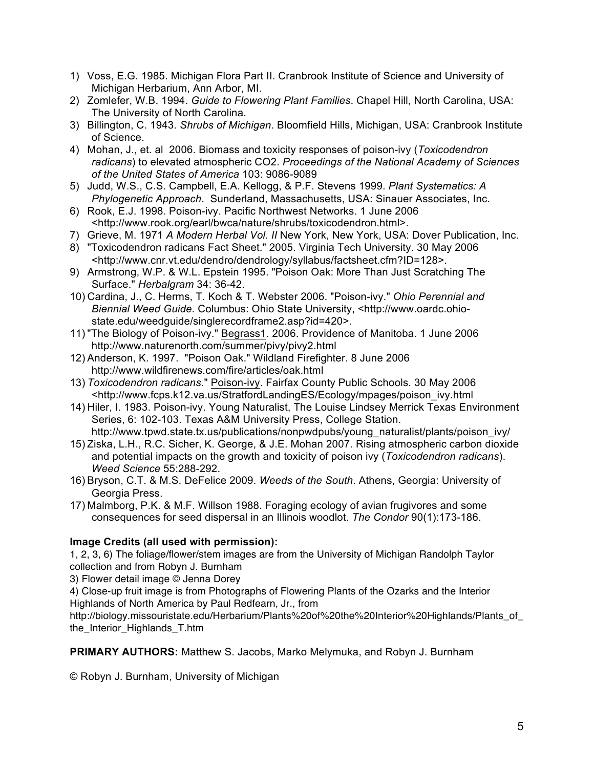- 1) Voss, E.G. 1985. Michigan Flora Part II. Cranbrook Institute of Science and University of Michigan Herbarium, Ann Arbor, MI.
- 2) Zomlefer, W.B. 1994. *Guide to Flowering Plant Families*. Chapel Hill, North Carolina, USA: The University of North Carolina.
- 3) Billington, C. 1943. *Shrubs of Michigan*. Bloomfield Hills, Michigan, USA: Cranbrook Institute of Science.
- 4) Mohan, J., et. al 2006. Biomass and toxicity responses of poison-ivy (*Toxicodendron radicans*) to elevated atmospheric CO2. *Proceedings of the National Academy of Sciences of the United States of America* 103: 9086-9089
- 5) Judd, W.S., C.S. Campbell, E.A. Kellogg, & P.F. Stevens 1999. *Plant Systematics: A Phylogenetic Approach*. Sunderland, Massachusetts, USA: Sinauer Associates, Inc.
- 6) Rook, E.J. 1998. Poison-ivy. Pacific Northwest Networks. 1 June 2006 <http://www.rook.org/earl/bwca/nature/shrubs/toxicodendron.html>.
- 7) Grieve, M. 1971 *A Modern Herbal Vol. II* New York, New York, USA: Dover Publication, Inc.
- 8) "Toxicodendron radicans Fact Sheet." 2005. Virginia Tech University. 30 May 2006 <http://www.cnr.vt.edu/dendro/dendrology/syllabus/factsheet.cfm?ID=128>.
- 9) Armstrong, W.P. & W.L. Epstein 1995. "Poison Oak: More Than Just Scratching The Surface." *Herbalgram* 34: 36-42.
- 10) Cardina, J., C. Herms, T. Koch & T. Webster 2006. "Poison-ivy." *Ohio Perennial and Biennial Weed Guide*. Columbus: Ohio State University, <http://www.oardc.ohiostate.edu/weedguide/singlerecordframe2.asp?id=420>.
- 11) "The Biology of Poison-ivy." Begrass1. 2006. Providence of Manitoba. 1 June 2006 http://www.naturenorth.com/summer/pivy/pivy2.html
- 12) Anderson, K. 1997. "Poison Oak." Wildland Firefighter. 8 June 2006 http://www.wildfirenews.com/fire/articles/oak.html
- 13) *Toxicodendron radicans*." Poison-ivy. Fairfax County Public Schools. 30 May 2006 <http://www.fcps.k12.va.us/StratfordLandingES/Ecology/mpages/poison\_ivy.html
- 14) Hiler, I. 1983. Poison-ivy. Young Naturalist, The Louise Lindsey Merrick Texas Environment Series, 6: 102-103. Texas A&M University Press, College Station. http://www.tpwd.state.tx.us/publications/nonpwdpubs/young\_naturalist/plants/poison\_ivy/
- 15) Ziska, L.H., R.C. Sicher, K. George, & J.E. Mohan 2007. Rising atmospheric carbon dioxide and potential impacts on the growth and toxicity of poison ivy (*Toxicodendron radicans*). *Weed Science* 55:288-292.
- 16) Bryson, C.T. & M.S. DeFelice 2009. *Weeds of the South*. Athens, Georgia: University of Georgia Press.
- 17) Malmborg, P.K. & M.F. Willson 1988. Foraging ecology of avian frugivores and some consequences for seed dispersal in an Illinois woodlot. *The Condor* 90(1):173-186.

# **Image Credits (all used with permission):**

1, 2, 3, 6) The foliage/flower/stem images are from the University of Michigan Randolph Taylor collection and from Robyn J. Burnham

3) Flower detail image © Jenna Dorey

4) Close-up fruit image is from Photographs of Flowering Plants of the Ozarks and the Interior Highlands of North America by Paul Redfearn, Jr., from

http://biology.missouristate.edu/Herbarium/Plants%20of%20the%20Interior%20Highlands/Plants\_of\_ the Interior Highlands T.htm

**PRIMARY AUTHORS:** Matthew S. Jacobs, Marko Melymuka, and Robyn J. Burnham

© Robyn J. Burnham, University of Michigan